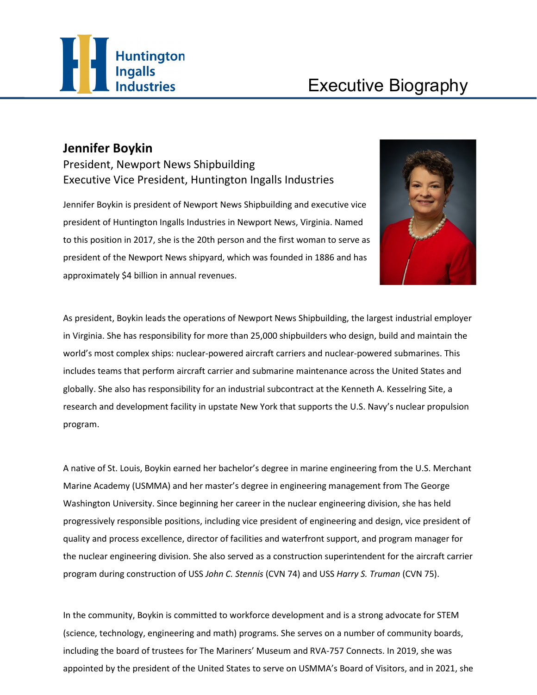

## **Jennifer Boykin**

President, Newport News Shipbuilding Executive Vice President, Huntington Ingalls Industries

Jennifer Boykin is president of Newport News Shipbuilding and executive vice president of Huntington Ingalls Industries in Newport News, Virginia. Named to this position in 2017, she is the 20th person and the first woman to serve as president of the Newport News shipyard, which was founded in 1886 and has approximately \$4 billion in annual revenues.



As president, Boykin leads the operations of Newport News Shipbuilding, the largest industrial employer in Virginia. She has responsibility for more than 25,000 shipbuilders who design, build and maintain the world's most complex ships: nuclear-powered aircraft carriers and nuclear-powered submarines. This includes teams that perform aircraft carrier and submarine maintenance across the United States and globally. She also has responsibility for an industrial subcontract at the Kenneth A. Kesselring Site, a research and development facility in upstate New York that supports the U.S. Navy's nuclear propulsion program.

A native of St. Louis, Boykin earned her bachelor's degree in marine engineering from the U.S. Merchant Marine Academy (USMMA) and her master's degree in engineering management from The George Washington University. Since beginning her career in the nuclear engineering division, she has held progressively responsible positions, including vice president of engineering and design, vice president of quality and process excellence, director of facilities and waterfront support, and program manager for the nuclear engineering division. She also served as a construction superintendent for the aircraft carrier program during construction of USS *John C. Stennis* (CVN 74) and USS *Harry S. Truman* (CVN 75).

In the community, Boykin is committed to workforce development and is a strong advocate for STEM (science, technology, engineering and math) programs. She serves on a number of community boards, including the board of trustees for The Mariners' Museum and RVA-757 Connects. In 2019, she was appointed by the president of the United States to serve on USMMA's Board of Visitors, and in 2021, she